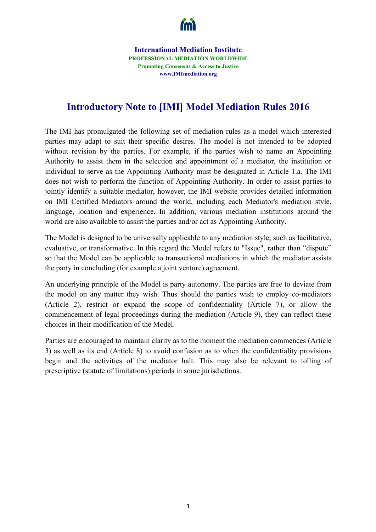

**International Mediation Institute PROFESSIONAL MEDIATION WORLDWIDE Promoting Consensus & Access to Justice www.IMImediation.org**

## **Introductory Note to [IMI] Model Mediation Rules 2016**

The IMI has promulgated the following set of mediation rules as a model which interested parties may adapt to suit their specific desires. The model is not intended to be adopted without revision by the parties. For example, if the parties wish to name an Appointing Authority to assist them in the selection and appointment of a mediator, the institution or individual to serve as the Appointing Authority must be designated in Article 1.a. The IMI does not wish to perform the function of Appointing Authority. In order to assist parties to jointly identify a suitable mediator, however, the IMI website provides detailed information on IMI Certified Mediators around the world, including each Mediator's mediation style, language, location and experience. In addition, various mediation institutions around the world are also available to assist the parties and/or act as Appointing Authority.

The Model is designed to be universally applicable to any mediation style, such as facilitative, evaluative, or transformative. In this regard the Model refers to "Issue", rather than "dispute" so that the Model can be applicable to transactional mediations in which the mediator assists the party in concluding (for example a joint venture) agreement.

An underlying principle of the Model is party autonomy. The parties are free to deviate from the model on any matter they wish. Thus should the parties wish to employ co-mediators (Article 2), restrict or expand the scope of confidentiality (Article 7), or allow the commencement of legal proceedings during the mediation (Article 9), they can reflect these choices in their modification of the Model.

Parties are encouraged to maintain clarity as to the moment the mediation commences (Article 3) as well as its end (Article 8) to avoid confusion as to when the confidentiality provisions begin and the activities of the mediator halt. This may also be relevant to tolling of prescriptive (statute of limitations) periods in some jurisdictions.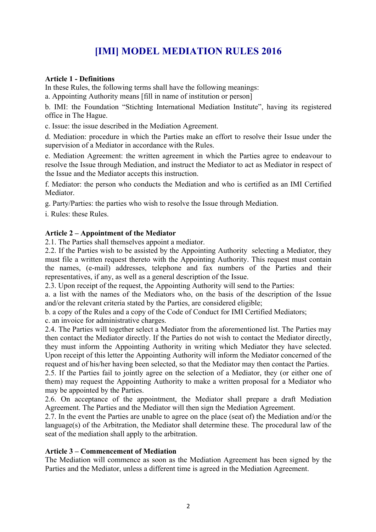# **[IMI] MODEL MEDIATION RULES 2016**

## **Article 1 - Definitions**

In these Rules, the following terms shall have the following meanings:

a. Appointing Authority means [fill in name of institution or person]

b. IMI: the Foundation "Stichting International Mediation Institute", having its registered office in The Hague.

c. Issue: the issue described in the Mediation Agreement.

d. Mediation: procedure in which the Parties make an effort to resolve their Issue under the supervision of a Mediator in accordance with the Rules.

e. Mediation Agreement: the written agreement in which the Parties agree to endeavour to resolve the Issue through Mediation, and instruct the Mediator to act as Mediator in respect of the Issue and the Mediator accepts this instruction.

f. Mediator: the person who conducts the Mediation and who is certified as an IMI Certified Mediator.

g. Party/Parties: the parties who wish to resolve the Issue through Mediation.

i. Rules: these Rules.

## **Article 2 – Appointment of the Mediator**

2.1. The Parties shall themselves appoint a mediator.

2.2. If the Parties wish to be assisted by the Appointing Authority selecting a Mediator, they must file a written request thereto with the Appointing Authority. This request must contain the names, (e-mail) addresses, telephone and fax numbers of the Parties and their representatives, if any, as well as a general description of the Issue.

2.3. Upon receipt of the request, the Appointing Authority will send to the Parties:

a. a list with the names of the Mediators who, on the basis of the description of the Issue and/or the relevant criteria stated by the Parties, are considered eligible;

b. a copy of the Rules and a copy of the Code of Conduct for IMI Certified Mediators;

c. an invoice for administrative charges.

2.4. The Parties will together select a Mediator from the aforementioned list. The Parties may then contact the Mediator directly. If the Parties do not wish to contact the Mediator directly, they must inform the Appointing Authority in writing which Mediator they have selected. Upon receipt of this letter the Appointing Authority will inform the Mediator concerned of the request and of his/her having been selected, so that the Mediator may then contact the Parties.

2.5. If the Parties fail to jointly agree on the selection of a Mediator, they (or either one of them) may request the Appointing Authority to make a written proposal for a Mediator who may be appointed by the Parties.

2.6. On acceptance of the appointment, the Mediator shall prepare a draft Mediation Agreement. The Parties and the Mediator will then sign the Mediation Agreement.

2.7. In the event the Parties are unable to agree on the place (seat of) the Mediation and/or the language(s) of the Arbitration, the Mediator shall determine these. The procedural law of the seat of the mediation shall apply to the arbitration.

## **Article 3 – Commencement of Mediation**

The Mediation will commence as soon as the Mediation Agreement has been signed by the Parties and the Mediator, unless a different time is agreed in the Mediation Agreement.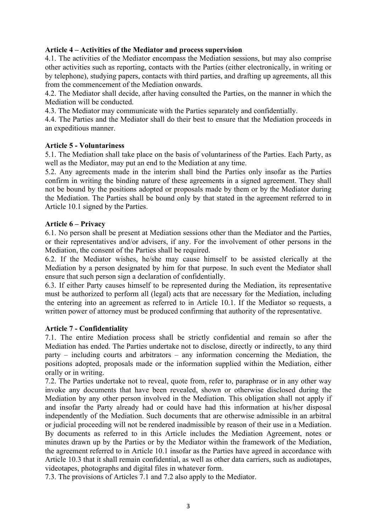## **Article 4 – Activities of the Mediator and process supervision**

4.1. The activities of the Mediator encompass the Mediation sessions, but may also comprise other activities such as reporting, contacts with the Parties (either electronically, in writing or by telephone), studying papers, contacts with third parties, and drafting up agreements, all this from the commencement of the Mediation onwards.

4.2. The Mediator shall decide, after having consulted the Parties, on the manner in which the Mediation will be conducted.

4.3. The Mediator may communicate with the Parties separately and confidentially.

4.4. The Parties and the Mediator shall do their best to ensure that the Mediation proceeds in an expeditious manner.

## **Article 5 - Voluntariness**

5.1. The Mediation shall take place on the basis of voluntariness of the Parties. Each Party, as well as the Mediator, may put an end to the Mediation at any time.

5.2. Any agreements made in the interim shall bind the Parties only insofar as the Parties confirm in writing the binding nature of these agreements in a signed agreement. They shall not be bound by the positions adopted or proposals made by them or by the Mediator during the Mediation. The Parties shall be bound only by that stated in the agreement referred to in Article 10.1 signed by the Parties.

#### **Article 6 – Privacy**

6.1. No person shall be present at Mediation sessions other than the Mediator and the Parties, or their representatives and/or advisers, if any. For the involvement of other persons in the Mediation, the consent of the Parties shall be required.

6.2. If the Mediator wishes, he/she may cause himself to be assisted clerically at the Mediation by a person designated by him for that purpose. In such event the Mediator shall ensure that such person sign a declaration of confidentially.

6.3. If either Party causes himself to be represented during the Mediation, its representative must be authorized to perform all (legal) acts that are necessary for the Mediation, including the entering into an agreement as referred to in Article 10.1. If the Mediator so requests, a written power of attorney must be produced confirming that authority of the representative.

#### **Article 7 - Confidentiality**

7.1. The entire Mediation process shall be strictly confidential and remain so after the Mediation has ended. The Parties undertake not to disclose, directly or indirectly, to any third party – including courts and arbitrators – any information concerning the Mediation, the positions adopted, proposals made or the information supplied within the Mediation, either orally or in writing.

7.2. The Parties undertake not to reveal, quote from, refer to, paraphrase or in any other way invoke any documents that have been revealed, shown or otherwise disclosed during the Mediation by any other person involved in the Mediation. This obligation shall not apply if and insofar the Party already had or could have had this information at his/her disposal independently of the Mediation. Such documents that are otherwise admissible in an arbitral or judicial proceeding will not be rendered inadmissible by reason of their use in a Mediation. By documents as referred to in this Article includes the Mediation Agreement, notes or minutes drawn up by the Parties or by the Mediator within the framework of the Mediation, the agreement referred to in Article 10.1 insofar as the Parties have agreed in accordance with Article 10.3 that it shall remain confidential, as well as other data carriers, such as audiotapes, videotapes, photographs and digital files in whatever form.

7.3. The provisions of Articles 7.1 and 7.2 also apply to the Mediator.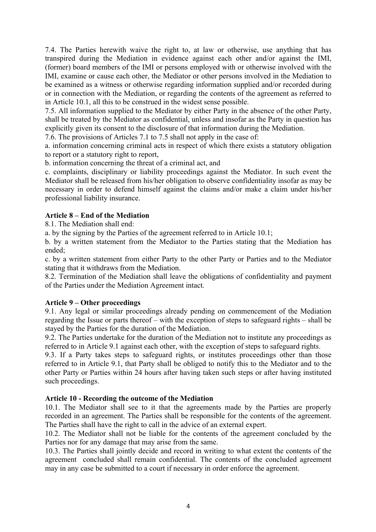7.4. The Parties herewith waive the right to, at law or otherwise, use anything that has transpired during the Mediation in evidence against each other and/or against the IMI, (former) board members of the IMI or persons employed with or otherwise involved with the IMI, examine or cause each other, the Mediator or other persons involved in the Mediation to be examined as a witness or otherwise regarding information supplied and/or recorded during or in connection with the Mediation, or regarding the contents of the agreement as referred to in Article 10.1, all this to be construed in the widest sense possible.

7.5. All information supplied to the Mediator by either Party in the absence of the other Party, shall be treated by the Mediator as confidential, unless and insofar as the Party in question has explicitly given its consent to the disclosure of that information during the Mediation.

7.6. The provisions of Articles 7.1 to 7.5 shall not apply in the case of:

a. information concerning criminal acts in respect of which there exists a statutory obligation to report or a statutory right to report,

b. information concerning the threat of a criminal act, and

c. complaints, disciplinary or liability proceedings against the Mediator. In such event the Mediator shall be released from his/her obligation to observe confidentiality insofar as may be necessary in order to defend himself against the claims and/or make a claim under his/her professional liability insurance.

## **Article 8 – End of the Mediation**

8.1. The Mediation shall end:

a. by the signing by the Parties of the agreement referred to in Article 10.1;

b. by a written statement from the Mediator to the Parties stating that the Mediation has ended;

c. by a written statement from either Party to the other Party or Parties and to the Mediator stating that it withdraws from the Mediation.

8.2. Termination of the Mediation shall leave the obligations of confidentiality and payment of the Parties under the Mediation Agreement intact.

#### **Article 9 – Other proceedings**

9.1. Any legal or similar proceedings already pending on commencement of the Mediation regarding the Issue or parts thereof – with the exception of steps to safeguard rights – shall be stayed by the Parties for the duration of the Mediation.

9.2. The Parties undertake for the duration of the Mediation not to institute any proceedings as referred to in Article 9.1 against each other, with the exception of steps to safeguard rights.

9.3. If a Party takes steps to safeguard rights, or institutes proceedings other than those referred to in Article 9.1, that Party shall be obliged to notify this to the Mediator and to the other Party or Parties within 24 hours after having taken such steps or after having instituted such proceedings.

#### **Article 10 - Recording the outcome of the Mediation**

10.1. The Mediator shall see to it that the agreements made by the Parties are properly recorded in an agreement. The Parties shall be responsible for the contents of the agreement. The Parties shall have the right to call in the advice of an external expert.

10.2. The Mediator shall not be liable for the contents of the agreement concluded by the Parties nor for any damage that may arise from the same.

10.3. The Parties shall jointly decide and record in writing to what extent the contents of the agreement concluded shall remain confidential. The contents of the concluded agreement may in any case be submitted to a court if necessary in order enforce the agreement.